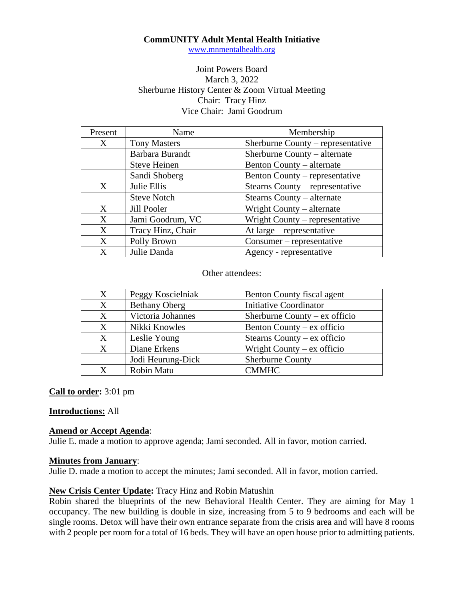### **CommUNITY Adult Mental Health Initiative**

[www.mnmentalhealth.org](http://www.mnmentalhealth.org/)

### Joint Powers Board March 3, 2022 Sherburne History Center & Zoom Virtual Meeting Chair: Tracy Hinz Vice Chair: Jami Goodrum

| Present | Name                | Membership                        |
|---------|---------------------|-----------------------------------|
| X       | <b>Tony Masters</b> | Sherburne County – representative |
|         | Barbara Burandt     | Sherburne County – alternate      |
|         | <b>Steve Heinen</b> | Benton County – alternate         |
|         | Sandi Shoberg       | Benton County – representative    |
| X       | Julie Ellis         | Stearns County – representative   |
|         | <b>Steve Notch</b>  | Stearns County – alternate        |
| X       | Jill Pooler         | Wright County – alternate         |
| X       | Jami Goodrum, VC    | Wright County – representative    |
| X       | Tracy Hinz, Chair   | At $large$ – representative       |
| X       | Polly Brown         | Consumer – representative         |
| X       | Julie Danda         | Agency - representative           |

Other attendees:

| X                | Peggy Koscielniak    | Benton County fiscal agent      |
|------------------|----------------------|---------------------------------|
| $\mathbf{X}$     | <b>Bethany Oberg</b> | <b>Initiative Coordinator</b>   |
| X                | Victoria Johannes    | Sherburne County – $ex$ officio |
| $\boldsymbol{X}$ | Nikki Knowles        | Benton County $-$ ex officio    |
| X                | Leslie Young         | Stearns County – $ex$ officio   |
| X                | Diane Erkens         | Wright County $-$ ex officio    |
|                  | Jodi Heurung-Dick    | <b>Sherburne County</b>         |
| X                | Robin Matu           | <b>CMMHC</b>                    |

### **Call to order:** 3:01 pm

### **Introductions:** All

### **Amend or Accept Agenda**:

Julie E. made a motion to approve agenda; Jami seconded. All in favor, motion carried.

#### **Minutes from January**:

Julie D. made a motion to accept the minutes; Jami seconded. All in favor, motion carried.

### **New Crisis Center Update:** Tracy Hinz and Robin Matushin

Robin shared the blueprints of the new Behavioral Health Center. They are aiming for May 1 occupancy. The new building is double in size, increasing from 5 to 9 bedrooms and each will be single rooms. Detox will have their own entrance separate from the crisis area and will have 8 rooms with 2 people per room for a total of 16 beds. They will have an open house prior to admitting patients.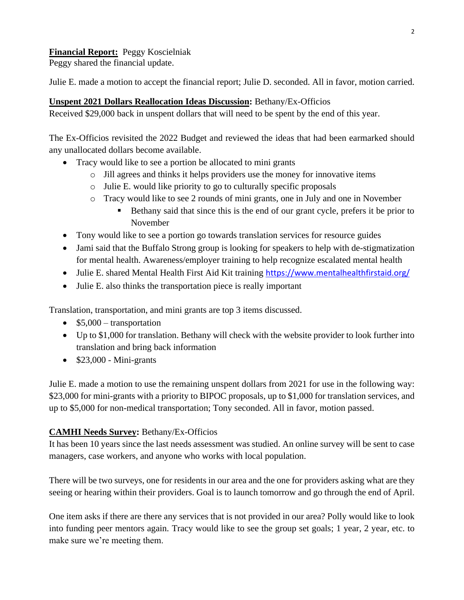## **Financial Report:** Peggy Koscielniak

Peggy shared the financial update.

Julie E. made a motion to accept the financial report; Julie D. seconded. All in favor, motion carried.

## **Unspent 2021 Dollars Reallocation Ideas Discussion:** Bethany/Ex-Officios

Received \$29,000 back in unspent dollars that will need to be spent by the end of this year.

The Ex-Officios revisited the 2022 Budget and reviewed the ideas that had been earmarked should any unallocated dollars become available.

- Tracy would like to see a portion be allocated to mini grants
	- o Jill agrees and thinks it helps providers use the money for innovative items
	- o Julie E. would like priority to go to culturally specific proposals
	- o Tracy would like to see 2 rounds of mini grants, one in July and one in November
		- **Example 1** Bethany said that since this is the end of our grant cycle, prefers it be prior to November
- Tony would like to see a portion go towards translation services for resource guides
- Jami said that the Buffalo Strong group is looking for speakers to help with de-stigmatization for mental health. Awareness/employer training to help recognize escalated mental health
- Julie E. shared Mental Health First Aid Kit training <https://www.mentalhealthfirstaid.org/>
- Julie E. also thinks the transportation piece is really important

Translation, transportation, and mini grants are top 3 items discussed.

- $$5,000$  transportation
- Up to \$1,000 for translation. Bethany will check with the website provider to look further into translation and bring back information
- $$23,000$  Mini-grants

Julie E. made a motion to use the remaining unspent dollars from 2021 for use in the following way: \$23,000 for mini-grants with a priority to BIPOC proposals, up to \$1,000 for translation services, and up to \$5,000 for non-medical transportation; Tony seconded. All in favor, motion passed.

# **CAMHI Needs Survey:** Bethany/Ex-Officios

It has been 10 years since the last needs assessment was studied. An online survey will be sent to case managers, case workers, and anyone who works with local population.

There will be two surveys, one for residents in our area and the one for providers asking what are they seeing or hearing within their providers. Goal is to launch tomorrow and go through the end of April.

One item asks if there are there any services that is not provided in our area? Polly would like to look into funding peer mentors again. Tracy would like to see the group set goals; 1 year, 2 year, etc. to make sure we're meeting them.